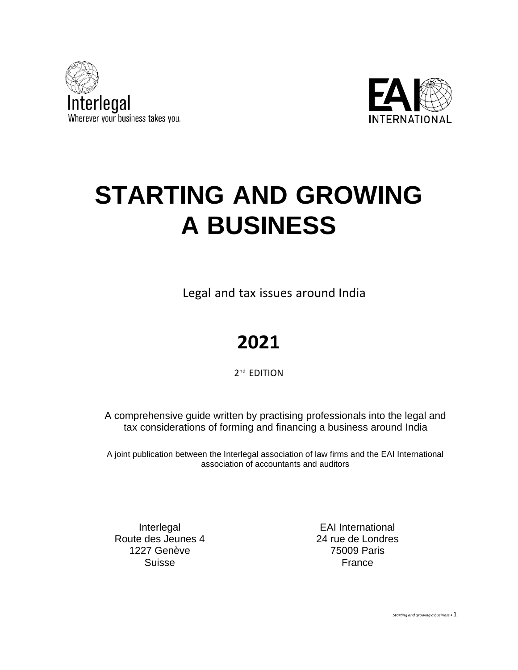



# **STARTING AND GROWING A BUSINESS**

Legal and tax issues around India

# **2021**

2<sup>nd</sup> EDITION

A comprehensive guide written by practising professionals into the legal and tax considerations of forming and financing a business around India

A joint publication between the Interlegal association of law firms and the EAI International association of accountants and auditors

Interlegal Route des Jeunes 4 1227 Genève Suisse

EAI International 24 rue de Londres 75009 Paris France

*Starting and growing <sup>a</sup> business •*1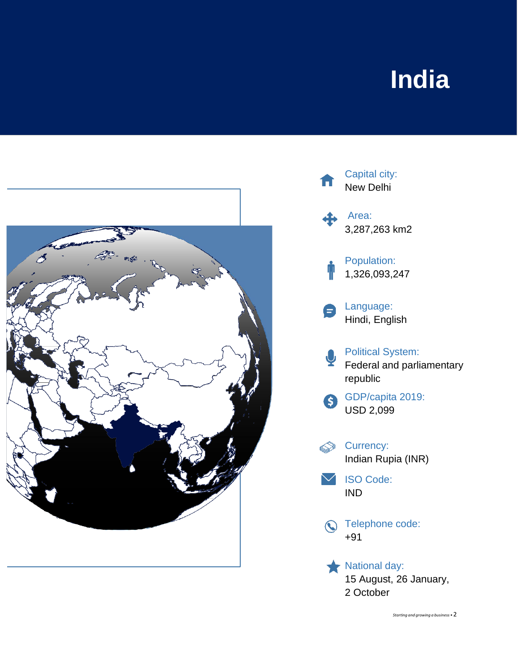# **India**



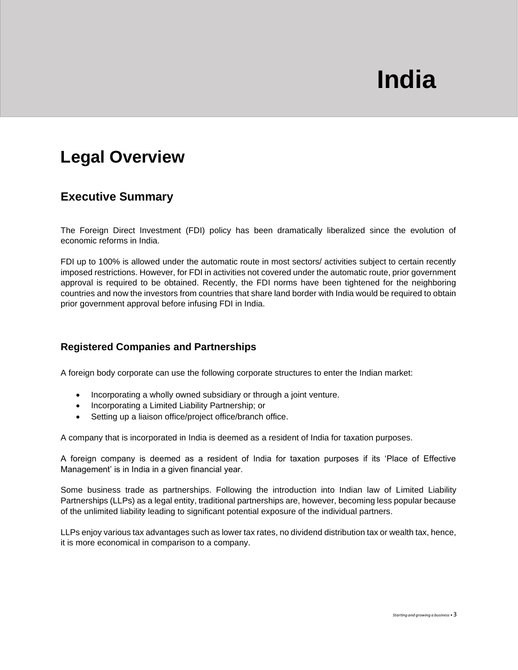# **India**

# **Legal Overview**

## **Executive Summary**

The Foreign Direct Investment (FDI) policy has been dramatically liberalized since the evolution of economic reforms in India.

FDI up to 100% is allowed under the automatic route in most sectors/ activities subject to certain recently imposed restrictions. However, for FDI in activities not covered under the automatic route, prior government approval is required to be obtained. Recently, the FDI norms have been tightened for the neighboring countries and now the investors from countries that share land border with India would be required to obtain prior government approval before infusing FDI in India.

#### **Registered Companies and Partnerships**

A foreign body corporate can use the following corporate structures to enter the Indian market:

- Incorporating a wholly owned subsidiary or through a joint venture.
- Incorporating a Limited Liability Partnership; or
- Setting up a liaison office/project office/branch office.

A company that is incorporated in India is deemed as a resident of India for taxation purposes.

A foreign company is deemed as a resident of India for taxation purposes if its 'Place of Effective Management' is in India in a given financial year.

Some business trade as partnerships. Following the introduction into Indian law of Limited Liability Partnerships (LLPs) as a legal entity, traditional partnerships are, however, becoming less popular because of the unlimited liability leading to significant potential exposure of the individual partners.

LLPs enjoy various tax advantages such as lower tax rates, no dividend distribution tax or wealth tax, hence, it is more economical in comparison to a company.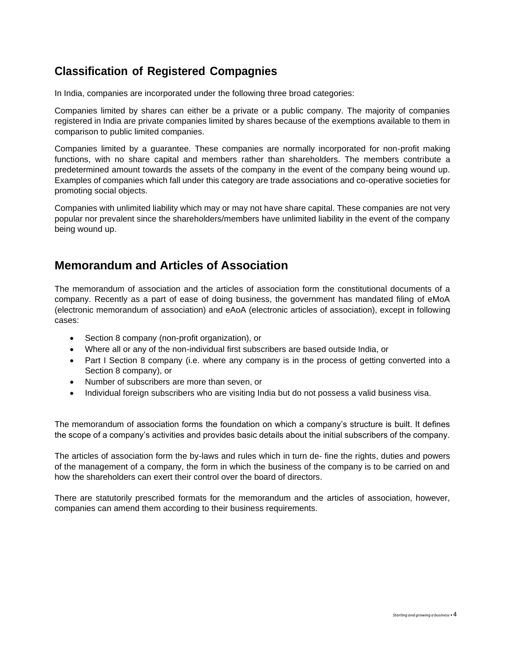# **Classification of Registered Compagnies**

In India, companies are incorporated under the following three broad categories:

Companies limited by shares can either be a private or a public company. The majority of companies registered in India are private companies limited by shares because of the exemptions available to them in comparison to public limited companies.

Companies limited by a guarantee. These companies are normally incorporated for non-profit making functions, with no share capital and members rather than shareholders. The members contribute a predetermined amount towards the assets of the company in the event of the company being wound up. Examples of companies which fall under this category are trade associations and co-operative societies for promoting social objects.

Companies with unlimited liability which may or may not have share capital. These companies are not very popular nor prevalent since the shareholders/members have unlimited liability in the event of the company being wound up.

## **Memorandum and Articles of Association**

The memorandum of association and the articles of association form the constitutional documents of a company. Recently as a part of ease of doing business, the government has mandated filing of eMoA (electronic memorandum of association) and eAoA (electronic articles of association), except in following cases:

- Section 8 company (non-profit organization), or
- Where all or any of the non-individual first subscribers are based outside India, or
- Part I Section 8 company (i.e. where any company is in the process of getting converted into a Section 8 company), or
- Number of subscribers are more than seven, or
- Individual foreign subscribers who are visiting India but do not possess a valid business visa.

The memorandum of association forms the foundation on which a company's structure is built. It defines the scope of a company's activities and provides basic details about the initial subscribers of the company.

The articles of association form the by-laws and rules which in turn de- fine the rights, duties and powers of the management of a company, the form in which the business of the company is to be carried on and how the shareholders can exert their control over the board of directors.

There are statutorily prescribed formats for the memorandum and the articles of association, however, companies can amend them according to their business requirements.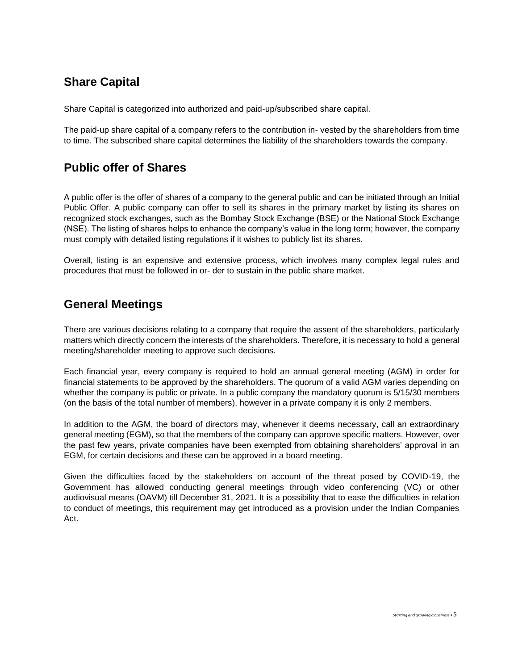# **Share Capital**

Share Capital is categorized into authorized and paid-up/subscribed share capital.

The paid-up share capital of a company refers to the contribution in- vested by the shareholders from time to time. The subscribed share capital determines the liability of the shareholders towards the company.

# **Public offer of Shares**

A public offer is the offer of shares of a company to the general public and can be initiated through an Initial Public Offer. A public company can offer to sell its shares in the primary market by listing its shares on recognized stock exchanges, such as the Bombay Stock Exchange (BSE) or the National Stock Exchange (NSE). The listing of shares helps to enhance the company's value in the long term; however, the company must comply with detailed listing regulations if it wishes to publicly list its shares.

Overall, listing is an expensive and extensive process, which involves many complex legal rules and procedures that must be followed in or- der to sustain in the public share market.

# **General Meetings**

There are various decisions relating to a company that require the assent of the shareholders, particularly matters which directly concern the interests of the shareholders. Therefore, it is necessary to hold a general meeting/shareholder meeting to approve such decisions.

Each financial year, every company is required to hold an annual general meeting (AGM) in order for financial statements to be approved by the shareholders. The quorum of a valid AGM varies depending on whether the company is public or private. In a public company the mandatory quorum is 5/15/30 members (on the basis of the total number of members), however in a private company it is only 2 members.

In addition to the AGM, the board of directors may, whenever it deems necessary, call an extraordinary general meeting (EGM), so that the members of the company can approve specific matters. However, over the past few years, private companies have been exempted from obtaining shareholders' approval in an EGM, for certain decisions and these can be approved in a board meeting.

Given the difficulties faced by the stakeholders on account of the threat posed by COVID-19, the Government has allowed conducting general meetings through video conferencing (VC) or other audiovisual means (OAVM) till December 31, 2021. It is a possibility that to ease the difficulties in relation to conduct of meetings, this requirement may get introduced as a provision under the Indian Companies Act.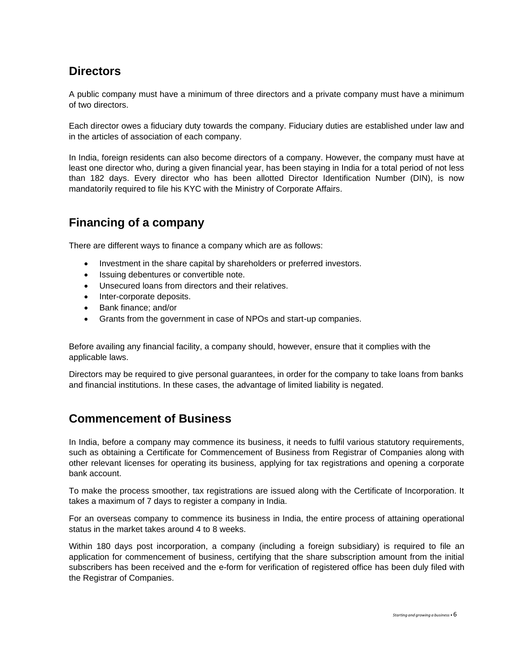# **Directors**

A public company must have a minimum of three directors and a private company must have a minimum of two directors.

Each director owes a fiduciary duty towards the company. Fiduciary duties are established under law and in the articles of association of each company.

In India, foreign residents can also become directors of a company. However, the company must have at least one director who, during a given financial year, has been staying in India for a total period of not less than 182 days. Every director who has been allotted Director Identification Number (DIN), is now mandatorily required to file his KYC with the Ministry of Corporate Affairs.

# **Financing of a company**

There are different ways to finance a company which are as follows:

- Investment in the share capital by shareholders or preferred investors.
- Issuing debentures or convertible note.
- Unsecured loans from directors and their relatives.
- Inter-corporate deposits.
- Bank finance; and/or
- Grants from the government in case of NPOs and start-up companies.

Before availing any financial facility, a company should, however, ensure that it complies with the applicable laws.

Directors may be required to give personal guarantees, in order for the company to take loans from banks and financial institutions. In these cases, the advantage of limited liability is negated.

# **Commencement of Business**

In India, before a company may commence its business, it needs to fulfil various statutory requirements, such as obtaining a Certificate for Commencement of Business from Registrar of Companies along with other relevant licenses for operating its business, applying for tax registrations and opening a corporate bank account.

To make the process smoother, tax registrations are issued along with the Certificate of Incorporation. It takes a maximum of 7 days to register a company in India.

For an overseas company to commence its business in India, the entire process of attaining operational status in the market takes around 4 to 8 weeks.

Within 180 days post incorporation, a company (including a foreign subsidiary) is required to file an application for commencement of business, certifying that the share subscription amount from the initial subscribers has been received and the e-form for verification of registered office has been duly filed with the Registrar of Companies.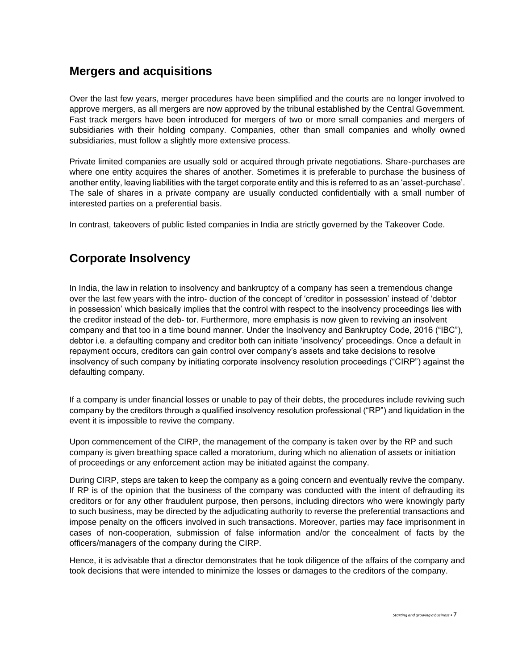## **Mergers and acquisitions**

Over the last few years, merger procedures have been simplified and the courts are no longer involved to approve mergers, as all mergers are now approved by the tribunal established by the Central Government. Fast track mergers have been introduced for mergers of two or more small companies and mergers of subsidiaries with their holding company. Companies, other than small companies and wholly owned subsidiaries, must follow a slightly more extensive process.

Private limited companies are usually sold or acquired through private negotiations. Share-purchases are where one entity acquires the shares of another. Sometimes it is preferable to purchase the business of another entity, leaving liabilities with the target corporate entity and this is referred to as an 'asset-purchase'. The sale of shares in a private company are usually conducted confidentially with a small number of interested parties on a preferential basis.

In contrast, takeovers of public listed companies in India are strictly governed by the Takeover Code.

# **Corporate Insolvency**

In India, the law in relation to insolvency and bankruptcy of a company has seen a tremendous change over the last few years with the intro- duction of the concept of 'creditor in possession' instead of 'debtor in possession' which basically implies that the control with respect to the insolvency proceedings lies with the creditor instead of the deb- tor. Furthermore, more emphasis is now given to reviving an insolvent company and that too in a time bound manner. Under the Insolvency and Bankruptcy Code, 2016 ("IBC"), debtor i.e. a defaulting company and creditor both can initiate 'insolvency' proceedings. Once a default in repayment occurs, creditors can gain control over company's assets and take decisions to resolve insolvency of such company by initiating corporate insolvency resolution proceedings ("CIRP") against the defaulting company.

If a company is under financial losses or unable to pay of their debts, the procedures include reviving such company by the creditors through a qualified insolvency resolution professional ("RP") and liquidation in the event it is impossible to revive the company.

Upon commencement of the CIRP, the management of the company is taken over by the RP and such company is given breathing space called a moratorium, during which no alienation of assets or initiation of proceedings or any enforcement action may be initiated against the company.

During CIRP, steps are taken to keep the company as a going concern and eventually revive the company. If RP is of the opinion that the business of the company was conducted with the intent of defrauding its creditors or for any other fraudulent purpose, then persons, including directors who were knowingly party to such business, may be directed by the adjudicating authority to reverse the preferential transactions and impose penalty on the officers involved in such transactions. Moreover, parties may face imprisonment in cases of non-cooperation, submission of false information and/or the concealment of facts by the officers/managers of the company during the CIRP.

Hence, it is advisable that a director demonstrates that he took diligence of the affairs of the company and took decisions that were intended to minimize the losses or damages to the creditors of the company.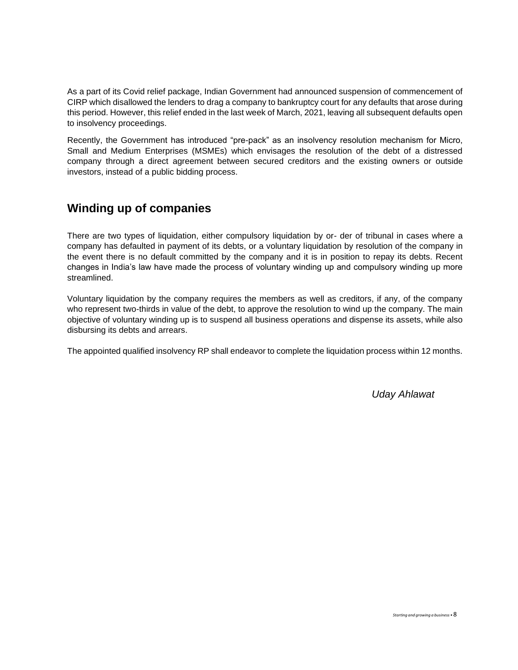As a part of its Covid relief package, Indian Government had announced suspension of commencement of CIRP which disallowed the lenders to drag a company to bankruptcy court for any defaults that arose during this period. However, this relief ended in the last week of March, 2021, leaving all subsequent defaults open to insolvency proceedings.

Recently, the Government has introduced "pre-pack" as an insolvency resolution mechanism for Micro, Small and Medium Enterprises (MSMEs) which envisages the resolution of the debt of a distressed company through a direct agreement between secured creditors and the existing owners or outside investors, instead of a public bidding process.

# **Winding up of companies**

There are two types of liquidation, either compulsory liquidation by or- der of tribunal in cases where a company has defaulted in payment of its debts, or a voluntary liquidation by resolution of the company in the event there is no default committed by the company and it is in position to repay its debts. Recent changes in India's law have made the process of voluntary winding up and compulsory winding up more streamlined.

Voluntary liquidation by the company requires the members as well as creditors, if any, of the company who represent two-thirds in value of the debt, to approve the resolution to wind up the company. The main objective of voluntary winding up is to suspend all business operations and dispense its assets, while also disbursing its debts and arrears.

The appointed qualified insolvency RP shall endeavor to complete the liquidation process within 12 months.

*Uday Ahlawat*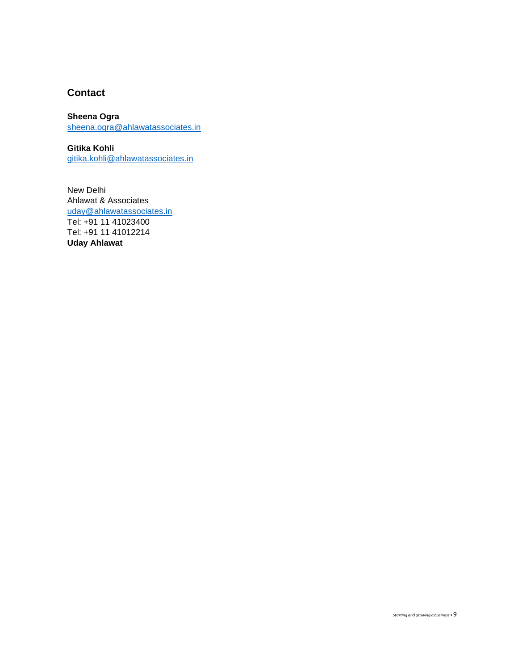#### **Contact**

#### **Sheena Ogra**

[sheena.ogra@ahlawatassociates.in](mailto:sheena.ogra@ahlawatassociates.in)

**Gitika Kohli**  [gitika.kohli@ahlawatassociates.in](mailto:gitika.kohli@ahlawatassociates.in)

New Delhi Ahlawat & Associates [uday@ahlawatassociates.in](mailto:uday@ahlawatassociates.in) Tel: +91 11 41023400 Tel: +91 11 41012214 **Uday Ahlawat**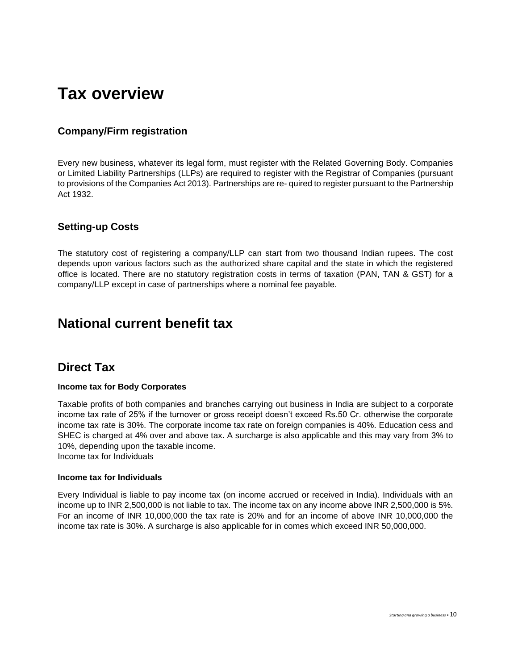# **Tax overview**

#### **Company/Firm registration**

Every new business, whatever its legal form, must register with the Related Governing Body. Companies or Limited Liability Partnerships (LLPs) are required to register with the Registrar of Companies (pursuant to provisions of the Companies Act 2013). Partnerships are re- quired to register pursuant to the Partnership Act 1932.

#### **Setting-up Costs**

The statutory cost of registering a company/LLP can start from two thousand Indian rupees. The cost depends upon various factors such as the authorized share capital and the state in which the registered office is located. There are no statutory registration costs in terms of taxation (PAN, TAN & GST) for a company/LLP except in case of partnerships where a nominal fee payable.

# **National current benefit tax**

## **Direct Tax**

#### **Income tax for Body Corporates**

Taxable profits of both companies and branches carrying out business in India are subject to a corporate income tax rate of 25% if the turnover or gross receipt doesn't exceed Rs.50 Cr. otherwise the corporate income tax rate is 30%. The corporate income tax rate on foreign companies is 40%. Education cess and SHEC is charged at 4% over and above tax. A surcharge is also applicable and this may vary from 3% to 10%, depending upon the taxable income.

Income tax for Individuals

#### **Income tax for Individuals**

Every Individual is liable to pay income tax (on income accrued or received in India). Individuals with an income up to INR 2,500,000 is not liable to tax. The income tax on any income above INR 2,500,000 is 5%. For an income of INR 10,000,000 the tax rate is 20% and for an income of above INR 10,000,000 the income tax rate is 30%. A surcharge is also applicable for in comes which exceed INR 50,000,000.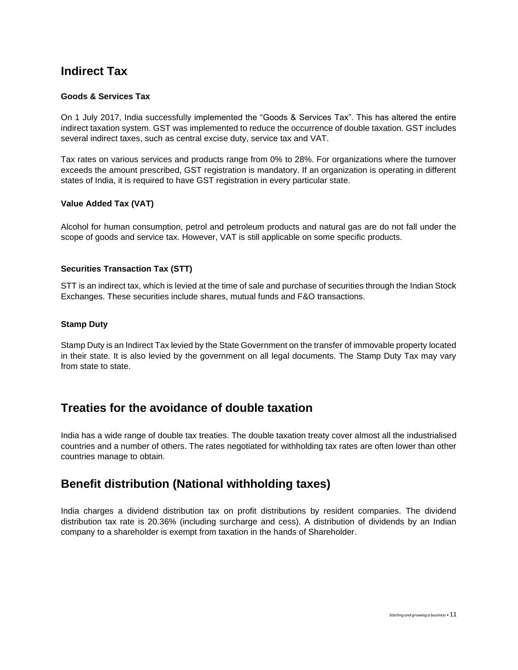# **Indirect Tax**

#### **Goods & Services Tax**

On 1 July 2017, India successfully implemented the "Goods & Services Tax". This has altered the entire indirect taxation system. GST was implemented to reduce the occurrence of double taxation. GST includes several indirect taxes, such as central excise duty, service tax and VAT.

Tax rates on various services and products range from 0% to 28%. For organizations where the turnover exceeds the amount prescribed, GST registration is mandatory. If an organization is operating in different states of India, it is required to have GST registration in every particular state.

#### **Value Added Tax (VAT)**

Alcohol for human consumption, petrol and petroleum products and natural gas are do not fall under the scope of goods and service tax. However, VAT is still applicable on some specific products.

#### **Securities Transaction Tax (STT)**

STT is an indirect tax, which is levied at the time of sale and purchase of securities through the Indian Stock Exchanges. These securities include shares, mutual funds and F&O transactions.

#### **Stamp Duty**

Stamp Duty is an Indirect Tax levied by the State Government on the transfer of immovable property located in their state. It is also levied by the government on all legal documents. The Stamp Duty Tax may vary from state to state.

## **Treaties for the avoidance of double taxation**

India has a wide range of double tax treaties. The double taxation treaty cover almost all the industrialised countries and a number of others. The rates negotiated for withholding tax rates are often lower than other countries manage to obtain.

## **Benefit distribution (National withholding taxes)**

India charges a dividend distribution tax on profit distributions by resident companies. The dividend distribution tax rate is 20.36% (including surcharge and cess). A distribution of dividends by an Indian company to a shareholder is exempt from taxation in the hands of Shareholder.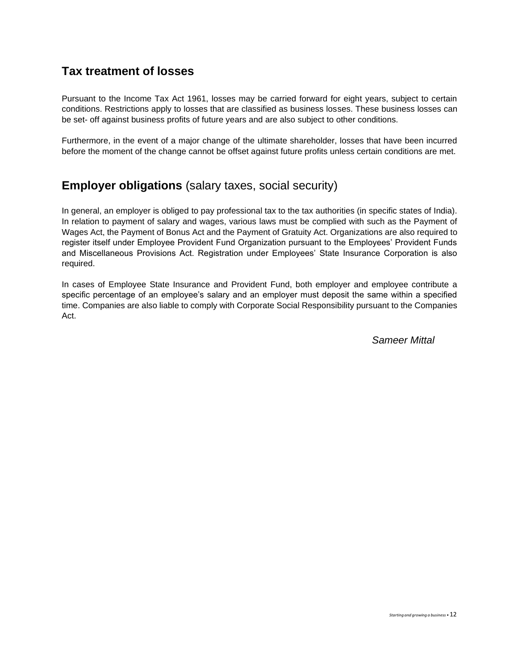# **Tax treatment of losses**

Pursuant to the Income Tax Act 1961, losses may be carried forward for eight years, subject to certain conditions. Restrictions apply to losses that are classified as business losses. These business losses can be set- off against business profits of future years and are also subject to other conditions.

Furthermore, in the event of a major change of the ultimate shareholder, losses that have been incurred before the moment of the change cannot be offset against future profits unless certain conditions are met.

# **Employer obligations** (salary taxes, social security)

In general, an employer is obliged to pay professional tax to the tax authorities (in specific states of India). In relation to payment of salary and wages, various laws must be complied with such as the Payment of Wages Act, the Payment of Bonus Act and the Payment of Gratuity Act. Organizations are also required to register itself under Employee Provident Fund Organization pursuant to the Employees' Provident Funds and Miscellaneous Provisions Act. Registration under Employees' State Insurance Corporation is also required.

In cases of Employee State Insurance and Provident Fund, both employer and employee contribute a specific percentage of an employee's salary and an employer must deposit the same within a specified time. Companies are also liable to comply with Corporate Social Responsibility pursuant to the Companies Act.

 *Sameer Mittal*